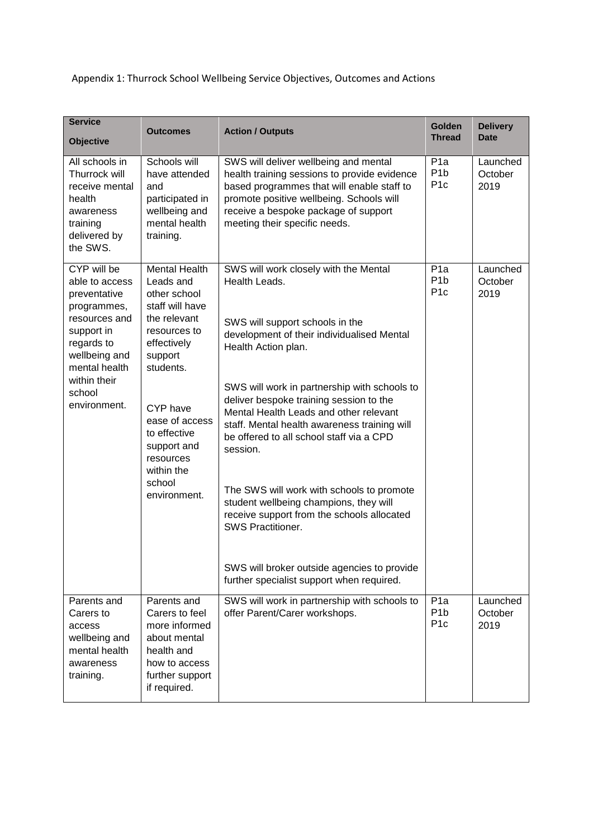Appendix 1: Thurrock School Wellbeing Service Objectives, Outcomes and Actions

| <b>Service</b><br><b>Objective</b>                                                                                                                                                    | <b>Outcomes</b>                                                                                                                                                                                                                                               | <b>Action / Outputs</b>                                                                                                                                                                                                                                                                                                                                                                                                                                                                                                                                                                                                                                           | Golden<br><b>Thread</b>                                 | <b>Delivery</b><br><b>Date</b> |
|---------------------------------------------------------------------------------------------------------------------------------------------------------------------------------------|---------------------------------------------------------------------------------------------------------------------------------------------------------------------------------------------------------------------------------------------------------------|-------------------------------------------------------------------------------------------------------------------------------------------------------------------------------------------------------------------------------------------------------------------------------------------------------------------------------------------------------------------------------------------------------------------------------------------------------------------------------------------------------------------------------------------------------------------------------------------------------------------------------------------------------------------|---------------------------------------------------------|--------------------------------|
| All schools in<br>Thurrock will<br>receive mental<br>health<br>awareness<br>training<br>delivered by<br>the SWS.                                                                      | Schools will<br>have attended<br>and<br>participated in<br>wellbeing and<br>mental health<br>training.                                                                                                                                                        | SWS will deliver wellbeing and mental<br>health training sessions to provide evidence<br>based programmes that will enable staff to<br>promote positive wellbeing. Schools will<br>receive a bespoke package of support<br>meeting their specific needs.                                                                                                                                                                                                                                                                                                                                                                                                          | P <sub>1</sub> a<br>P <sub>1</sub> b<br>P <sub>1c</sub> | Launched<br>October<br>2019    |
| CYP will be<br>able to access<br>preventative<br>programmes,<br>resources and<br>support in<br>regards to<br>wellbeing and<br>mental health<br>within their<br>school<br>environment. | <b>Mental Health</b><br>Leads and<br>other school<br>staff will have<br>the relevant<br>resources to<br>effectively<br>support<br>students.<br>CYP have<br>ease of access<br>to effective<br>support and<br>resources<br>within the<br>school<br>environment. | SWS will work closely with the Mental<br>Health Leads.<br>SWS will support schools in the<br>development of their individualised Mental<br>Health Action plan.<br>SWS will work in partnership with schools to<br>deliver bespoke training session to the<br>Mental Health Leads and other relevant<br>staff. Mental health awareness training will<br>be offered to all school staff via a CPD<br>session.<br>The SWS will work with schools to promote<br>student wellbeing champions, they will<br>receive support from the schools allocated<br>SWS Practitioner.<br>SWS will broker outside agencies to provide<br>further specialist support when required. | P <sub>1</sub> a<br>P <sub>1</sub> b<br>P <sub>1c</sub> | Launched<br>October<br>2019    |
| Parents and<br>Carers to<br>access<br>wellbeing and<br>mental health<br>awareness<br>training.                                                                                        | Parents and<br>Carers to feel<br>more informed<br>about mental<br>health and<br>how to access<br>further support<br>if required.                                                                                                                              | SWS will work in partnership with schools to<br>offer Parent/Carer workshops.                                                                                                                                                                                                                                                                                                                                                                                                                                                                                                                                                                                     | P <sub>1</sub> a<br>P <sub>1</sub> b<br>P <sub>1c</sub> | Launched<br>October<br>2019    |